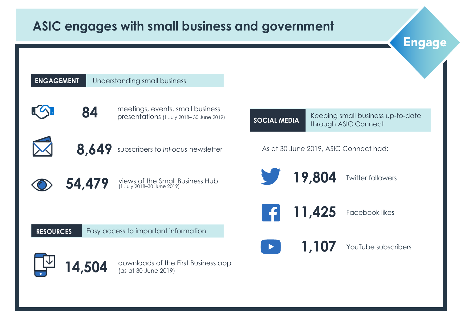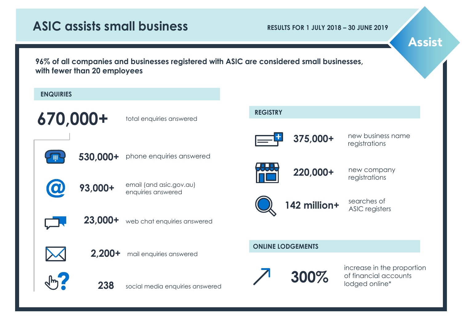# **ASIC assists small business**

**RESULTS FOR 1 JULY 2018 – 30 JUNE 2019** 

Assist

**96% of all companies and businesses registered with ASIC are considered small businesses, with fewer than 20 employees**